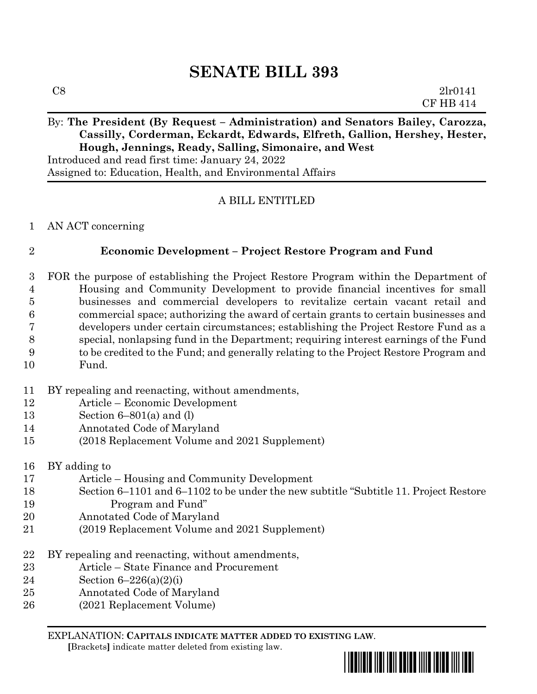# **SENATE BILL 393**

### By: The President (By Request – Administration) and Senators Bailey, Carozza, **Cassilly, Corderman, Eckardt, Edwards, Elfreth, Gallion, Hershey, Hester, Hough, Jennings, Ready, Salling, Simonaire, and West**

Introduced and read first time: January 24, 2022 Assigned to: Education, Health, and Environmental Affairs

## A BILL ENTITLED

### AN ACT concerning

### **Economic Development – Project Restore Program and Fund**

 FOR the purpose of establishing the Project Restore Program within the Department of Housing and Community Development to provide financial incentives for small businesses and commercial developers to revitalize certain vacant retail and commercial space; authorizing the award of certain grants to certain businesses and developers under certain circumstances; establishing the Project Restore Fund as a special, nonlapsing fund in the Department; requiring interest earnings of the Fund to be credited to the Fund; and generally relating to the Project Restore Program and Fund.

- BY repealing and reenacting, without amendments,
- Article Economic Development
- Section 6–801(a) and (l)
- Annotated Code of Maryland
- (2018 Replacement Volume and 2021 Supplement)

BY adding to

- Article Housing and Community Development
- Section 6–1101 and 6–1102 to be under the new subtitle "Subtitle 11. Project Restore Program and Fund"
- Annotated Code of Maryland
- (2019 Replacement Volume and 2021 Supplement)
- 22 BY repealing and reenacting, without amendments,
- Article State Finance and Procurement
- Section 6–226(a)(2)(i)
- Annotated Code of Maryland
- (2021 Replacement Volume)

EXPLANATION: **CAPITALS INDICATE MATTER ADDED TO EXISTING LAW**.

 **[**Brackets**]** indicate matter deleted from existing law.

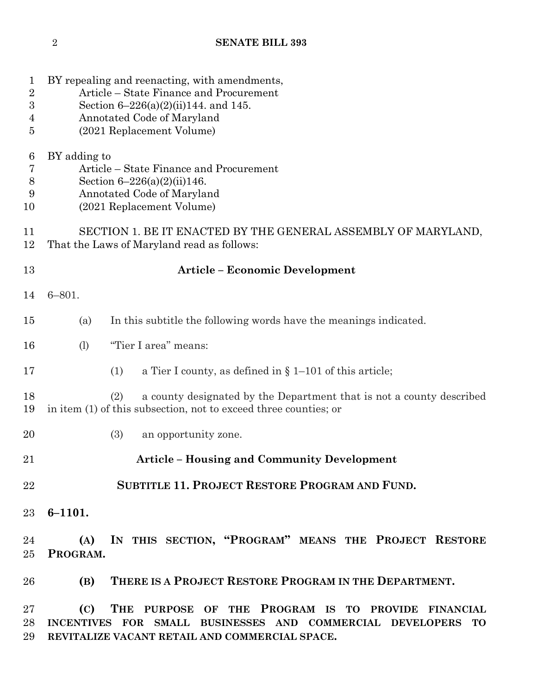| 1<br>$\overline{2}$<br>$\sqrt{3}$<br>4<br>5 | BY repealing and reenacting, with amendments,<br>Article – State Finance and Procurement<br>Section $6-226(a)(2)(ii)144$ . and 145.<br>Annotated Code of Maryland<br>(2021 Replacement Volume) |  |  |  |
|---------------------------------------------|------------------------------------------------------------------------------------------------------------------------------------------------------------------------------------------------|--|--|--|
| 6<br>7<br>$8\,$<br>9<br>10                  | BY adding to<br>Article – State Finance and Procurement<br>Section $6-226(a)(2)(ii)146$ .<br>Annotated Code of Maryland<br>(2021 Replacement Volume)                                           |  |  |  |
| 11<br>12                                    | SECTION 1. BE IT ENACTED BY THE GENERAL ASSEMBLY OF MARYLAND,<br>That the Laws of Maryland read as follows:                                                                                    |  |  |  |
| 13                                          | <b>Article - Economic Development</b>                                                                                                                                                          |  |  |  |
| 14                                          | $6 - 801.$                                                                                                                                                                                     |  |  |  |
| 15                                          | In this subtitle the following words have the meanings indicated.<br>(a)                                                                                                                       |  |  |  |
| 16                                          | "Tier I area" means:<br>(1)                                                                                                                                                                    |  |  |  |
| 17                                          | a Tier I county, as defined in $\S 1-101$ of this article;<br>(1)                                                                                                                              |  |  |  |
| 18<br>19                                    | a county designated by the Department that is not a county described<br>(2)<br>in item (1) of this subsection, not to exceed three counties; or                                                |  |  |  |
| 20                                          | (3)<br>an opportunity zone.                                                                                                                                                                    |  |  |  |
| 21                                          | <b>Article – Housing and Community Development</b>                                                                                                                                             |  |  |  |
| 22                                          | <b>SUBTITLE 11. PROJECT RESTORE PROGRAM AND FUND.</b>                                                                                                                                          |  |  |  |
| 23                                          | $6 - 1101.$                                                                                                                                                                                    |  |  |  |
| 24<br>25 <sub>1</sub>                       | IN THIS SECTION, "PROGRAM" MEANS THE PROJECT RESTORE<br>(A)<br>PROGRAM.                                                                                                                        |  |  |  |
| 26                                          | THERE IS A PROJECT RESTORE PROGRAM IN THE DEPARTMENT.<br>(B)                                                                                                                                   |  |  |  |
| 27<br>28<br>29                              | THE PURPOSE OF THE PROGRAM IS TO PROVIDE FINANCIAL<br>(C)<br>INCENTIVES FOR SMALL BUSINESSES AND COMMERCIAL DEVELOPERS TO<br>REVITALIZE VACANT RETAIL AND COMMERCIAL SPACE.                    |  |  |  |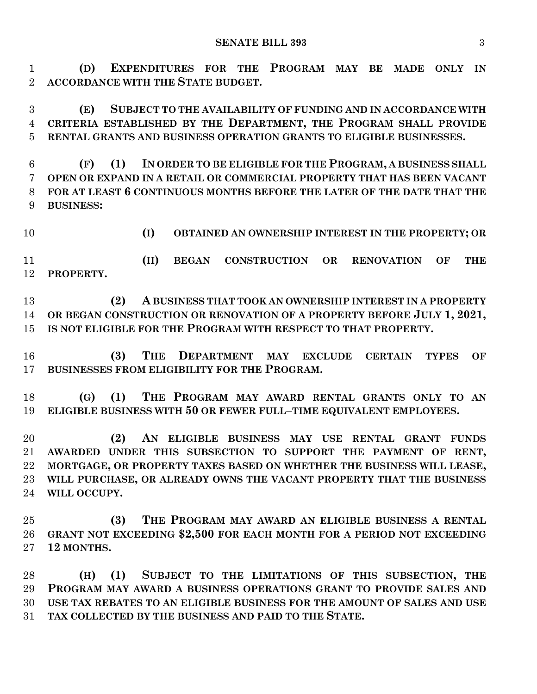**(D) EXPENDITURES FOR THE PROGRAM MAY BE MADE ONLY IN ACCORDANCE WITH THE STATE BUDGET.**

 **(E) SUBJECT TO THE AVAILABILITY OF FUNDING AND IN ACCORDANCE WITH CRITERIA ESTABLISHED BY THE DEPARTMENT, THE PROGRAM SHALL PROVIDE RENTAL GRANTS AND BUSINESS OPERATION GRANTS TO ELIGIBLE BUSINESSES.**

 **(F) (1) IN ORDER TO BE ELIGIBLE FOR THE PROGRAM, A BUSINESS SHALL OPEN OR EXPAND IN A RETAIL OR COMMERCIAL PROPERTY THAT HAS BEEN VACANT FOR AT LEAST 6 CONTINUOUS MONTHS BEFORE THE LATER OF THE DATE THAT THE BUSINESS:**

**(I) OBTAINED AN OWNERSHIP INTEREST IN THE PROPERTY; OR**

 **(II) BEGAN CONSTRUCTION OR RENOVATION OF THE PROPERTY.**

 **(2) A BUSINESS THAT TOOK AN OWNERSHIP INTEREST IN A PROPERTY OR BEGAN CONSTRUCTION OR RENOVATION OF A PROPERTY BEFORE JULY 1, 2021, IS NOT ELIGIBLE FOR THE PROGRAM WITH RESPECT TO THAT PROPERTY.**

 **(3) THE DEPARTMENT MAY EXCLUDE CERTAIN TYPES OF BUSINESSES FROM ELIGIBILITY FOR THE PROGRAM.**

 **(G) (1) THE PROGRAM MAY AWARD RENTAL GRANTS ONLY TO AN ELIGIBLE BUSINESS WITH 50 OR FEWER FULL–TIME EQUIVALENT EMPLOYEES.**

 **(2) AN ELIGIBLE BUSINESS MAY USE RENTAL GRANT FUNDS AWARDED UNDER THIS SUBSECTION TO SUPPORT THE PAYMENT OF RENT, MORTGAGE, OR PROPERTY TAXES BASED ON WHETHER THE BUSINESS WILL LEASE, WILL PURCHASE, OR ALREADY OWNS THE VACANT PROPERTY THAT THE BUSINESS WILL OCCUPY.**

 **(3) THE PROGRAM MAY AWARD AN ELIGIBLE BUSINESS A RENTAL GRANT NOT EXCEEDING \$2,500 FOR EACH MONTH FOR A PERIOD NOT EXCEEDING 12 MONTHS.**

 **(H) (1) SUBJECT TO THE LIMITATIONS OF THIS SUBSECTION, THE PROGRAM MAY AWARD A BUSINESS OPERATIONS GRANT TO PROVIDE SALES AND USE TAX REBATES TO AN ELIGIBLE BUSINESS FOR THE AMOUNT OF SALES AND USE TAX COLLECTED BY THE BUSINESS AND PAID TO THE STATE.**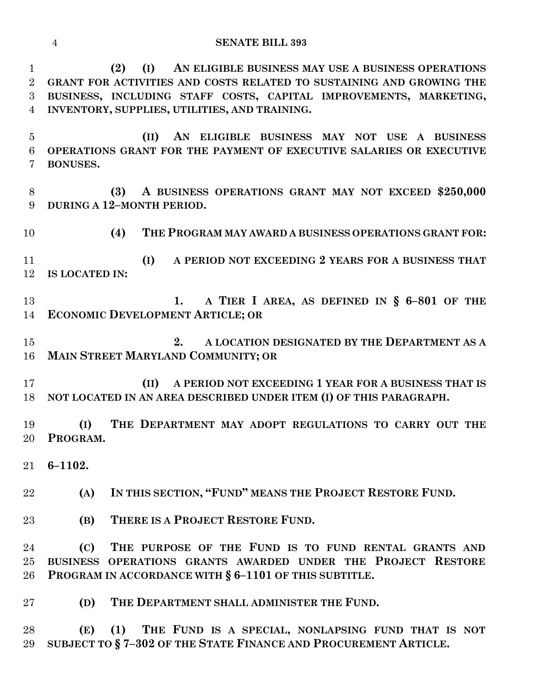**(2) (I) AN ELIGIBLE BUSINESS MAY USE A BUSINESS OPERATIONS GRANT FOR ACTIVITIES AND COSTS RELATED TO SUSTAINING AND GROWING THE BUSINESS, INCLUDING STAFF COSTS, CAPITAL IMPROVEMENTS, MARKETING, INVENTORY, SUPPLIES, UTILITIES, AND TRAINING.**

 **(II) AN ELIGIBLE BUSINESS MAY NOT USE A BUSINESS OPERATIONS GRANT FOR THE PAYMENT OF EXECUTIVE SALARIES OR EXECUTIVE BONUSES.**

 **(3) A BUSINESS OPERATIONS GRANT MAY NOT EXCEED \$250,000 DURING A 12–MONTH PERIOD.**

**(4) THE PROGRAM MAY AWARD A BUSINESS OPERATIONS GRANT FOR:**

 **(I) A PERIOD NOT EXCEEDING 2 YEARS FOR A BUSINESS THAT IS LOCATED IN:**

 **1. A TIER I AREA, AS DEFINED IN § 6–801 OF THE ECONOMIC DEVELOPMENT ARTICLE; OR**

 **2. A LOCATION DESIGNATED BY THE DEPARTMENT AS A MAIN STREET MARYLAND COMMUNITY; OR**

 **(II) A PERIOD NOT EXCEEDING 1 YEAR FOR A BUSINESS THAT IS NOT LOCATED IN AN AREA DESCRIBED UNDER ITEM (I) OF THIS PARAGRAPH.**

 **(I) THE DEPARTMENT MAY ADOPT REGULATIONS TO CARRY OUT THE PROGRAM.**

**6–1102.**

**(A) IN THIS SECTION, "FUND" MEANS THE PROJECT RESTORE FUND.**

**(B) THERE IS A PROJECT RESTORE FUND.**

 **(C) THE PURPOSE OF THE FUND IS TO FUND RENTAL GRANTS AND BUSINESS OPERATIONS GRANTS AWARDED UNDER THE PROJECT RESTORE PROGRAM IN ACCORDANCE WITH § 6–1101 OF THIS SUBTITLE.**

**(D) THE DEPARTMENT SHALL ADMINISTER THE FUND.**

 **(E) (1) THE FUND IS A SPECIAL, NONLAPSING FUND THAT IS NOT SUBJECT TO § 7–302 OF THE STATE FINANCE AND PROCUREMENT ARTICLE.**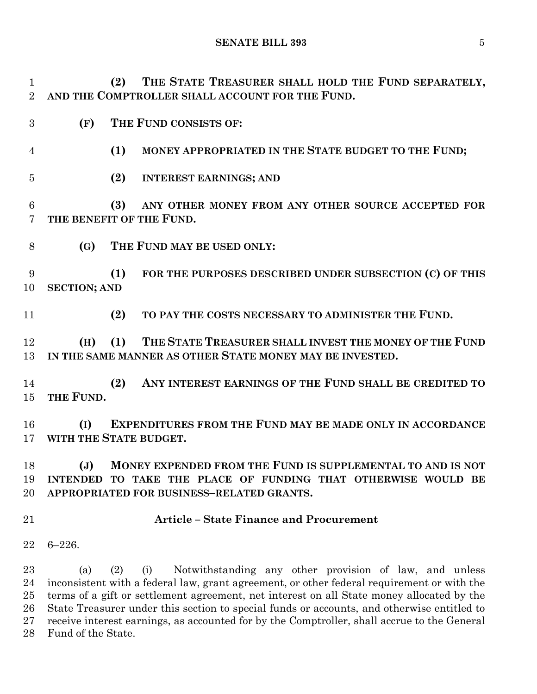**SENATE BILL 393** 5

 **(2) THE STATE TREASURER SHALL HOLD THE FUND SEPARATELY, AND THE COMPTROLLER SHALL ACCOUNT FOR THE FUND.**

- **(F) THE FUND CONSISTS OF:**
- **(1) MONEY APPROPRIATED IN THE STATE BUDGET TO THE FUND;**
- **(2) INTEREST EARNINGS; AND**

 **(3) ANY OTHER MONEY FROM ANY OTHER SOURCE ACCEPTED FOR THE BENEFIT OF THE FUND.**

**(G) THE FUND MAY BE USED ONLY:**

 **(1) FOR THE PURPOSES DESCRIBED UNDER SUBSECTION (C) OF THIS SECTION; AND**

**(2) TO PAY THE COSTS NECESSARY TO ADMINISTER THE FUND.**

 **(H) (1) THE STATE TREASURER SHALL INVEST THE MONEY OF THE FUND IN THE SAME MANNER AS OTHER STATE MONEY MAY BE INVESTED.**

 **(2) ANY INTEREST EARNINGS OF THE FUND SHALL BE CREDITED TO THE FUND.**

 **(I) EXPENDITURES FROM THE FUND MAY BE MADE ONLY IN ACCORDANCE WITH THE STATE BUDGET.**

 **(J) MONEY EXPENDED FROM THE FUND IS SUPPLEMENTAL TO AND IS NOT INTENDED TO TAKE THE PLACE OF FUNDING THAT OTHERWISE WOULD BE APPROPRIATED FOR BUSINESS–RELATED GRANTS.**

### **Article – State Finance and Procurement**

6–226.

 (a) (2) (i) Notwithstanding any other provision of law, and unless inconsistent with a federal law, grant agreement, or other federal requirement or with the terms of a gift or settlement agreement, net interest on all State money allocated by the State Treasurer under this section to special funds or accounts, and otherwise entitled to receive interest earnings, as accounted for by the Comptroller, shall accrue to the General Fund of the State.